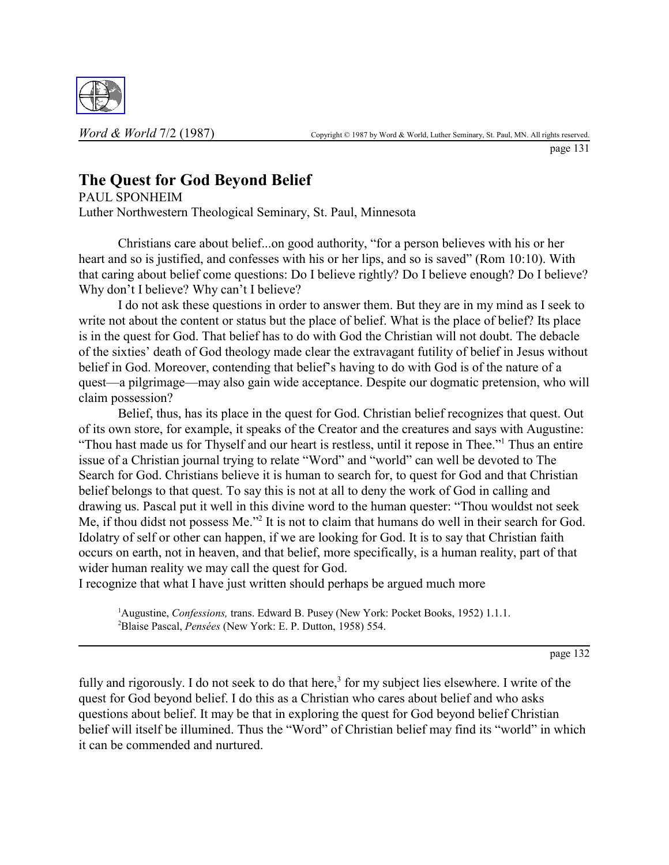

page 131

# **The Quest for God Beyond Belief**

PAUL SPONHEIM Luther Northwestern Theological Seminary, St. Paul, Minnesota

Christians care about belief...on good authority, "for a person believes with his or her heart and so is justified, and confesses with his or her lips, and so is saved" (Rom  $10:10$ ). With that caring about belief come questions: Do I believe rightly? Do I believe enough? Do I believe? Why don't I believe? Why can't I believe?

I do not ask these questions in order to answer them. But they are in my mind as I seek to write not about the content or status but the place of belief. What is the place of belief? Its place is in the quest for God. That belief has to do with God the Christian will not doubt. The debacle of the sixties' death of God theology made clear the extravagant futility of belief in Jesus without belief in God. Moreover, contending that belief's having to do with God is of the nature of a quest—a pilgrimage—may also gain wide acceptance. Despite our dogmatic pretension, who will claim possession?

Belief, thus, has its place in the quest for God. Christian belief recognizes that quest. Out of its own store, for example, it speaks of the Creator and the creatures and says with Augustine: "Thou hast made us for Thyself and our heart is restless, until it repose in Thee."<sup>1</sup> Thus an entire issue of a Christian journal trying to relate "Word" and "world" can well be devoted to The Search for God. Christians believe it is human to search for, to quest for God and that Christian belief belongs to that quest. To say this is not at all to deny the work of God in calling and drawing us. Pascal put it well in this divine word to the human quester: "Thou wouldst not seek Me, if thou didst not possess Me."<sup>2</sup> It is not to claim that humans do well in their search for God. Idolatry of self or other can happen, if we are looking for God. It is to say that Christian faith occurs on earth, not in heaven, and that belief, more specifically, is a human reality, part of that wider human reality we may call the quest for God.

I recognize that what I have just written should perhaps be argued much more

<sup>1</sup>Augustine, *Confessions*, trans. Edward B. Pusey (New York: Pocket Books, 1952) 1.1.1. <sup>2</sup>Blaise Pascal, *Pensées* (New York: E. P. Dutton, 1958) 554.

page 132

fully and rigorously. I do not seek to do that here,<sup>3</sup> for my subject lies elsewhere. I write of the quest for God beyond belief. I do this as a Christian who cares about belief and who asks questions about belief. It may be that in exploring the quest for God beyond belief Christian belief will itself be illumined. Thus the "Word" of Christian belief may find its "world" in which it can be commended and nurtured.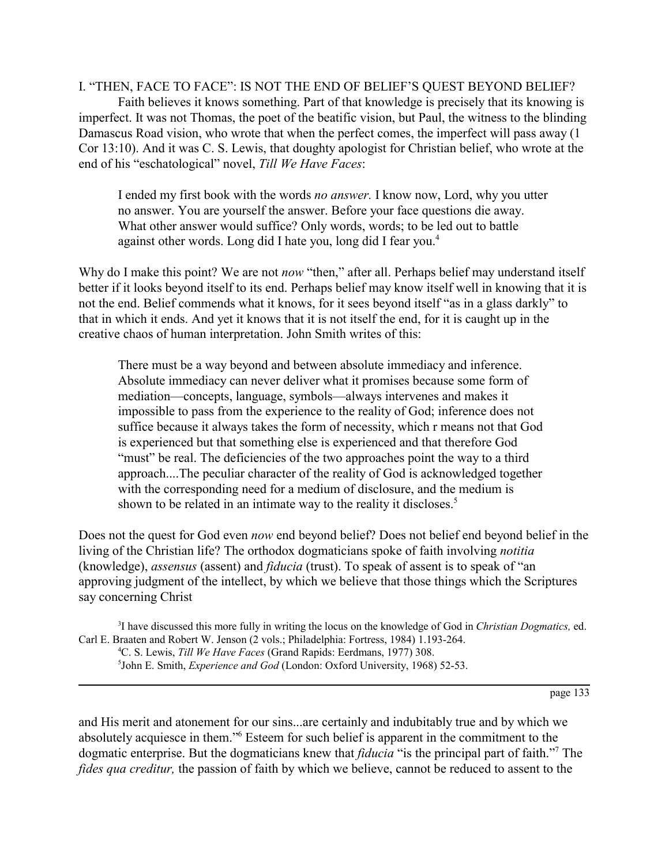I. "THEN, FACE TO FACE": IS NOT THE END OF BELIEF'S QUEST BEYOND BELIEF? Faith believes it knows something. Part of that knowledge is precisely that its knowing is imperfect. It was not Thomas, the poet of the beatific vision, but Paul, the witness to the blinding Damascus Road vision, who wrote that when the perfect comes, the imperfect will pass away (1 Cor 13:10). And it was C. S. Lewis, that doughty apologist for Christian belief, who wrote at the end of his "eschatological" novel, *Till We Have Faces*:

I ended my first book with the words *no answer.* I know now, Lord, why you utter no answer. You are yourself the answer. Before your face questions die away. What other answer would suffice? Only words, words; to be led out to battle against other words. Long did I hate you, long did I fear you.<sup>4</sup>

Why do I make this point? We are not *now* "then," after all. Perhaps belief may understand itself better if it looks beyond itself to its end. Perhaps belief may know itself well in knowing that it is not the end. Belief commends what it knows, for it sees beyond itself "as in a glass darkly" to that in which it ends. And yet it knows that it is not itself the end, for it is caught up in the creative chaos of human interpretation. John Smith writes of this:

There must be a way beyond and between absolute immediacy and inference. Absolute immediacy can never deliver what it promises because some form of mediation—concepts, language, symbols—always intervenes and makes it impossible to pass from the experience to the reality of God; inference does not suffice because it always takes the form of necessity, which r means not that God is experienced but that something else is experienced and that therefore God "must" be real. The deficiencies of the two approaches point the way to a third approach....The peculiar character of the reality of God is acknowledged together with the corresponding need for a medium of disclosure, and the medium is shown to be related in an intimate way to the reality it discloses.<sup>5</sup>

Does not the quest for God even *now* end beyond belief? Does not belief end beyond belief in the living of the Christian life? The orthodox dogmaticians spoke of faith involving *notitia* (knowledge), *assensus* (assent) and *fiducia* (trust). To speak of assent is to speak of "an approving judgment of the intellect, by which we believe that those things which the Scriptures say concerning Christ

3 I have discussed this more fully in writing the locus on the knowledge of God in *Christian Dogmatics,* ed. Carl E. Braaten and Robert W. Jenson (2 vols.; Philadelphia: Fortress, 1984) 1.193-264.

4 C. S. Lewis, *Till We Have Faces* (Grand Rapids: Eerdmans, 1977) 308. 5 John E. Smith, *Experience and God* (London: Oxford University, 1968) 52-53.

page 133

and His merit and atonement for our sins...are certainly and indubitably true and by which we absolutely acquiesce in them."<sup>6</sup> Esteem for such belief is apparent in the commitment to the dogmatic enterprise. But the dogmaticians knew that *fiducia* "is the principal part of faith."<sup>7</sup> The *fides qua creditur,* the passion of faith by which we believe, cannot be reduced to assent to the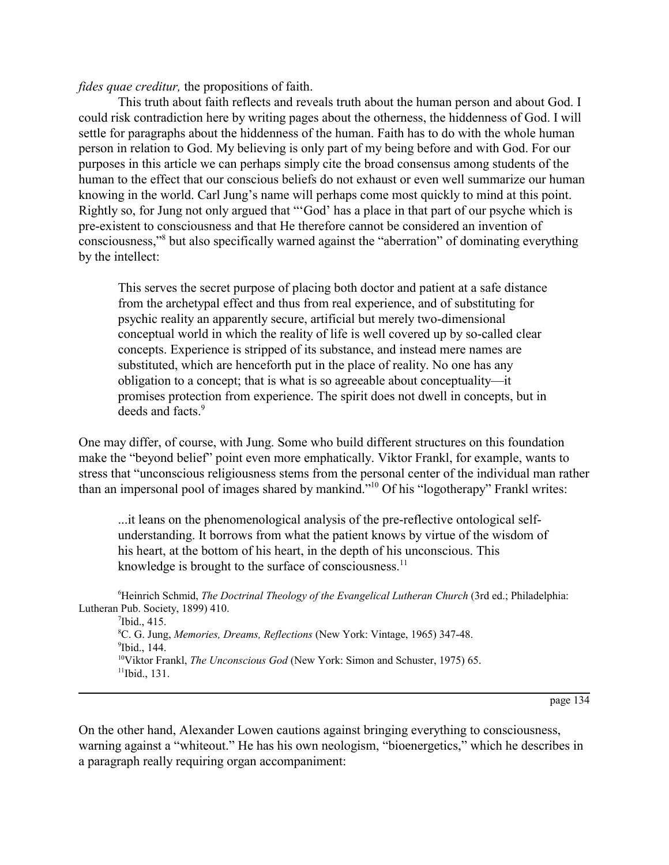#### *fides quae creditur,* the propositions of faith.

This truth about faith reflects and reveals truth about the human person and about God. I could risk contradiction here by writing pages about the otherness, the hiddenness of God. I will settle for paragraphs about the hiddenness of the human. Faith has to do with the whole human person in relation to God. My believing is only part of my being before and with God. For our purposes in this article we can perhaps simply cite the broad consensus among students of the human to the effect that our conscious beliefs do not exhaust or even well summarize our human knowing in the world. Carl Jung's name will perhaps come most quickly to mind at this point. Rightly so, for Jung not only argued that "God' has a place in that part of our psyche which is pre-existent to consciousness and that He therefore cannot be considered an invention of consciousness,"<sup>8</sup> but also specifically warned against the "aberration" of dominating everything by the intellect:

This serves the secret purpose of placing both doctor and patient at a safe distance from the archetypal effect and thus from real experience, and of substituting for psychic reality an apparently secure, artificial but merely two-dimensional conceptual world in which the reality of life is well covered up by so-called clear concepts. Experience is stripped of its substance, and instead mere names are substituted, which are henceforth put in the place of reality. No one has any obligation to a concept; that is what is so agreeable about conceptuality—it promises protection from experience. The spirit does not dwell in concepts, but in deeds and facts.<sup>9</sup>

One may differ, of course, with Jung. Some who build different structures on this foundation make the "beyond belief" point even more emphatically. Viktor Frankl, for example, wants to stress that "unconscious religiousness stems from the personal center of the individual man rather than an impersonal pool of images shared by mankind.<sup> $10^1$ </sup> Of his "logotherapy" Frankl writes:

...it leans on the phenomenological analysis of the pre-reflective ontological selfunderstanding. It borrows from what the patient knows by virtue of the wisdom of his heart, at the bottom of his heart, in the depth of his unconscious. This knowledge is brought to the surface of consciousness. $<sup>11</sup>$ </sup>

<sup>6</sup>Heinrich Schmid, *The Doctrinal Theology of the Evangelical Lutheran Church* (3rd ed.; Philadelphia: Lutheran Pub. Society, 1899) 410.

Ibid., 415. C. G. Jung, *Memories, Dreams, Reflections* (New York: Vintage, 1965) 347-48. Ibid., 144. <sup>10</sup>Viktor Frankl, *The Unconscious God* (New York: Simon and Schuster, 1975) 65.<br><sup>11</sup>Ibid., 131.

page 134

On the other hand, Alexander Lowen cautions against bringing everything to consciousness, warning against a "whiteout." He has his own neologism, "bioenergetics," which he describes in a paragraph really requiring organ accompaniment: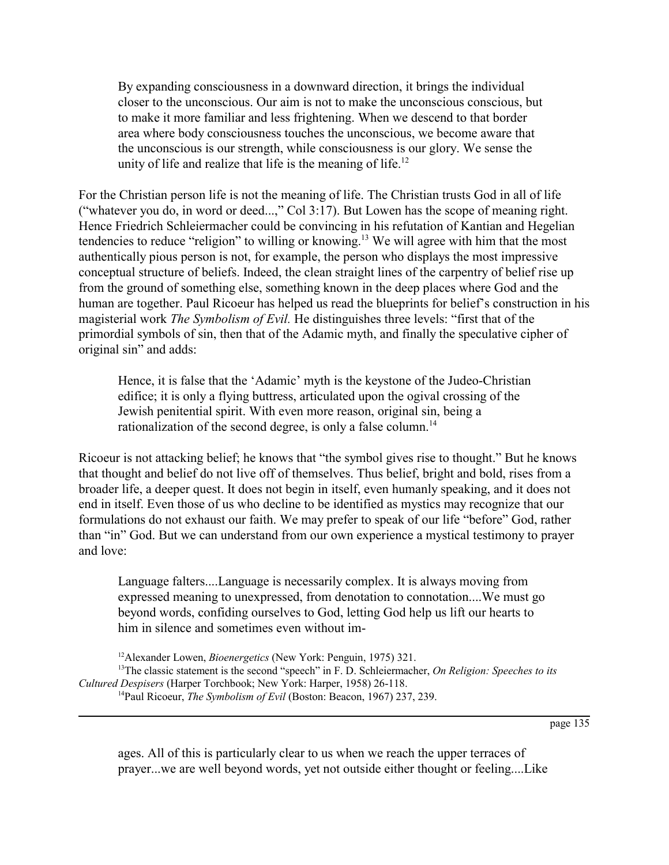By expanding consciousness in a downward direction, it brings the individual closer to the unconscious. Our aim is not to make the unconscious conscious, but to make it more familiar and less frightening. When we descend to that border area where body consciousness touches the unconscious, we become aware that the unconscious is our strength, while consciousness is our glory. We sense the unity of life and realize that life is the meaning of life.<sup>12</sup>

For the Christian person life is not the meaning of life. The Christian trusts God in all of life ("whatever you do, in word or deed...," Col 3:17). But Lowen has the scope of meaning right. Hence Friedrich Schleiermacher could be convincing in his refutation of Kantian and Hegelian tendencies to reduce "religion" to willing or knowing.<sup>13</sup> We will agree with him that the most authentically pious person is not, for example, the person who displays the most impressive conceptual structure of beliefs. Indeed, the clean straight lines of the carpentry of belief rise up from the ground of something else, something known in the deep places where God and the human are together. Paul Ricoeur has helped us read the blueprints for belief's construction in his magisterial work *The Symbolism of Evil*. He distinguishes three levels: "first that of the primordial symbols of sin, then that of the Adamic myth, and finally the speculative cipher of original sin" and adds:

Hence, it is false that the 'Adamic' myth is the keystone of the Judeo-Christian edifice; it is only a flying buttress, articulated upon the ogival crossing of the Jewish penitential spirit. With even more reason, original sin, being a rationalization of the second degree, is only a false column.<sup>14</sup>

Ricoeur is not attacking belief; he knows that "the symbol gives rise to thought." But he knows that thought and belief do not live off of themselves. Thus belief, bright and bold, rises from a broader life, a deeper quest. It does not begin in itself, even humanly speaking, and it does not end in itself. Even those of us who decline to be identified as mystics may recognize that our formulations do not exhaust our faith. We may prefer to speak of our life "before" God, rather than "in" God. But we can understand from our own experience a mystical testimony to prayer and love:

Language falters....Language is necessarily complex. It is always moving from expressed meaning to unexpressed, from denotation to connotation....We must go beyond words, confiding ourselves to God, letting God help us lift our hearts to him in silence and sometimes even without im-

```
12Alexander Lowen, Bioenergetics (New York: Penguin, 1975) 321.
```
page 135

ages. All of this is particularly clear to us when we reach the upper terraces of prayer...we are well beyond words, yet not outside either thought or feeling....Like

<sup>&</sup>lt;sup>13</sup>The classic statement is the second "speech" in F. D. Schleiermacher, *On Religion: Speeches to its Cultured Despisers* (Harper Torchbook; New York: Harper, 1958) 26-118. <sup>14</sup>Paul Ricoeur, *The Symbolism of Evil* (Boston: Beacon, 1967) 237, 239.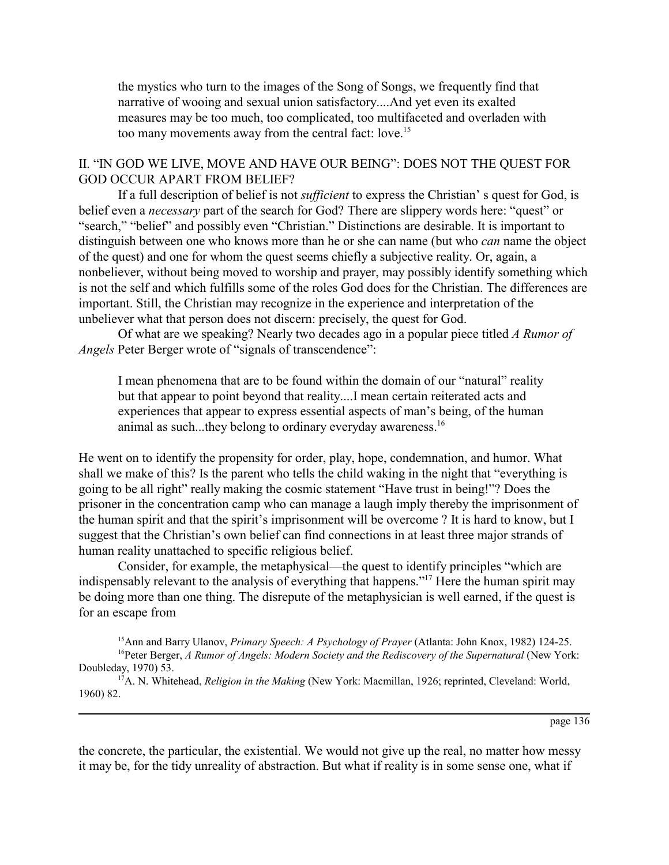the mystics who turn to the images of the Song of Songs, we frequently find that narrative of wooing and sexual union satisfactory....And yet even its exalted measures may be too much, too complicated, too multifaceted and overladen with too many movements away from the central fact: love.15

## II. "IN GOD WE LIVE, MOVE AND HAVE OUR BEING": DOES NOT THE QUEST FOR GOD OCCUR APART FROM BELIEF?

If a full description of belief is not *sufficient* to express the Christian's quest for God, is belief even a *necessary* part of the search for God? There are slippery words here: "quest" or "search," "belief" and possibly even "Christian." Distinctions are desirable. It is important to distinguish between one who knows more than he or she can name (but who *can* name the object of the quest) and one for whom the quest seems chiefly a subjective reality. Or, again, a nonbeliever, without being moved to worship and prayer, may possibly identify something which is not the self and which fulfills some of the roles God does for the Christian. The differences are important. Still, the Christian may recognize in the experience and interpretation of the unbeliever what that person does not discern: precisely, the quest for God.

Of what are we speaking? Nearly two decades ago in a popular piece titled *A Rumor of Angels* Peter Berger wrote of "signals of transcendence":

I mean phenomena that are to be found within the domain of our "natural" reality but that appear to point beyond that reality....I mean certain reiterated acts and experiences that appear to express essential aspects of man's being, of the human animal as such...they belong to ordinary everyday awareness.<sup>16</sup>

He went on to identify the propensity for order, play, hope, condemnation, and humor. What shall we make of this? Is the parent who tells the child waking in the night that "everything is going to be all right" really making the cosmic statement "Have trust in being!"? Does the prisoner in the concentration camp who can manage a laugh imply thereby the imprisonment of the human spirit and that the spirit's imprisonment will be overcome ? It is hard to know, but I suggest that the Christian's own belief can find connections in at least three major strands of human reality unattached to specific religious belief.

Consider, for example, the metaphysical—the quest to identify principles "which are indispensably relevant to the analysis of everything that happens.<sup>"17</sup> Here the human spirit may be doing more than one thing. The disrepute of the metaphysician is well earned, if the quest is for an escape from

15Ann and Barry Ulanov, *Primary Speech: A Psychology of Prayer* (Atlanta: John Knox, 1982) 124-25. <sup>16</sup>Peter Berger, *A Rumor of Angels: Modern Society and the Rediscovery of the Supernatural (New York:* Doubleday, 1970) 53.

<sup>17</sup>A. N. Whitehead, *Religion in the Making* (New York: Macmillan, 1926; reprinted, Cleveland: World, 1960) 82.

page 136

the concrete, the particular, the existential. We would not give up the real, no matter how messy it may be, for the tidy unreality of abstraction. But what if reality is in some sense one, what if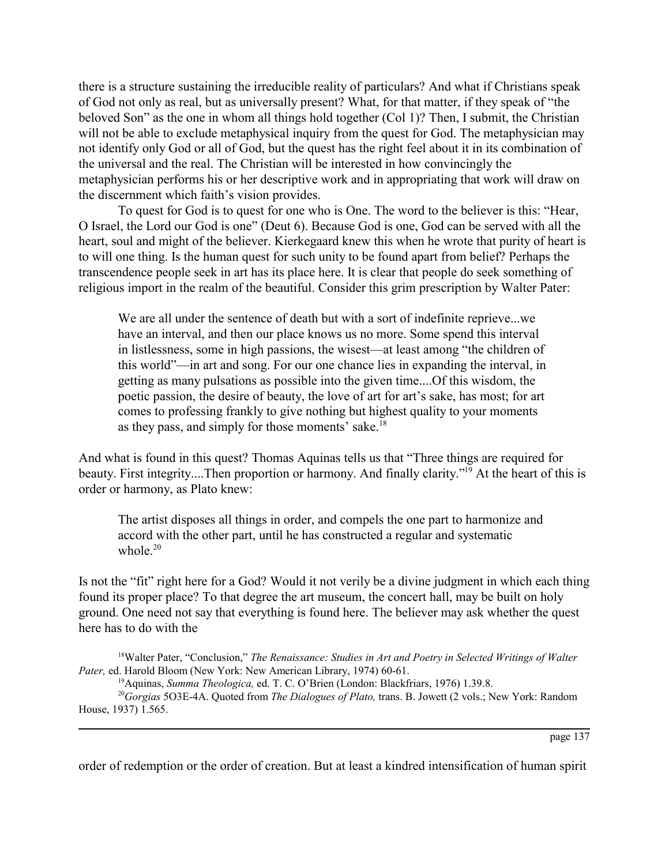there is a structure sustaining the irreducible reality of particulars? And what if Christians speak of God not only as real, but as universally present? What, for that matter, if they speak of "the beloved Son" as the one in whom all things hold together (Col 1)? Then, I submit, the Christian will not be able to exclude metaphysical inquiry from the quest for God. The metaphysician may not identify only God or all of God, but the quest has the right feel about it in its combination of the universal and the real. The Christian will be interested in how convincingly the metaphysician performs his or her descriptive work and in appropriating that work will draw on the discernment which faith's vision provides.

To quest for God is to quest for one who is One. The word to the believer is this: "Hear, O Israel, the Lord our God is one" (Deut 6). Because God is one, God can be served with all the heart, soul and might of the believer. Kierkegaard knew this when he wrote that purity of heart is to will one thing. Is the human quest for such unity to be found apart from belief? Perhaps the transcendence people seek in art has its place here. It is clear that people do seek something of religious import in the realm of the beautiful. Consider this grim prescription by Walter Pater:

We are all under the sentence of death but with a sort of indefinite reprieve...we have an interval, and then our place knows us no more. Some spend this interval in listlessness, some in high passions, the wisest—at least among "the children of this world"—in art and song. For our one chance lies in expanding the interval, in getting as many pulsations as possible into the given time....Of this wisdom, the poetic passion, the desire of beauty, the love of art for art's sake, has most; for art comes to professing frankly to give nothing but highest quality to your moments as they pass, and simply for those moments' sake. $18$ 

And what is found in this quest? Thomas Aquinas tells us that "Three things are required for beauty. First integrity....Then proportion or harmony. And finally clarity."<sup>19</sup> At the heart of this is order or harmony, as Plato knew:

The artist disposes all things in order, and compels the one part to harmonize and accord with the other part, until he has constructed a regular and systematic whole  $20$ 

Is not the "fit" right here for a God? Would it not verily be a divine judgment in which each thing found its proper place? To that degree the art museum, the concert hall, may be built on holy ground. One need not say that everything is found here. The believer may ask whether the quest here has to do with the

<sup>18</sup>Walter Pater, "Conclusion," *The Renaissance: Studies in Art and Poetry in Selected Writings of Walter Pater,* ed. Harold Bloom (New York: New American Library, 1974) 60-61.

<sup>19</sup> Aquinas, *Summa Theologica*, ed. T. C. O'Brien (London: Blackfriars, 1976) 1.39.8.

<sup>20</sup>*Gorgias* 5O3E-4A. Quoted from *The Dialogues of Plato,* trans. B. Jowett (2 vols.; New York: Random House, 1937) 1.565.

page 137

order of redemption or the order of creation. But at least a kindred intensification of human spirit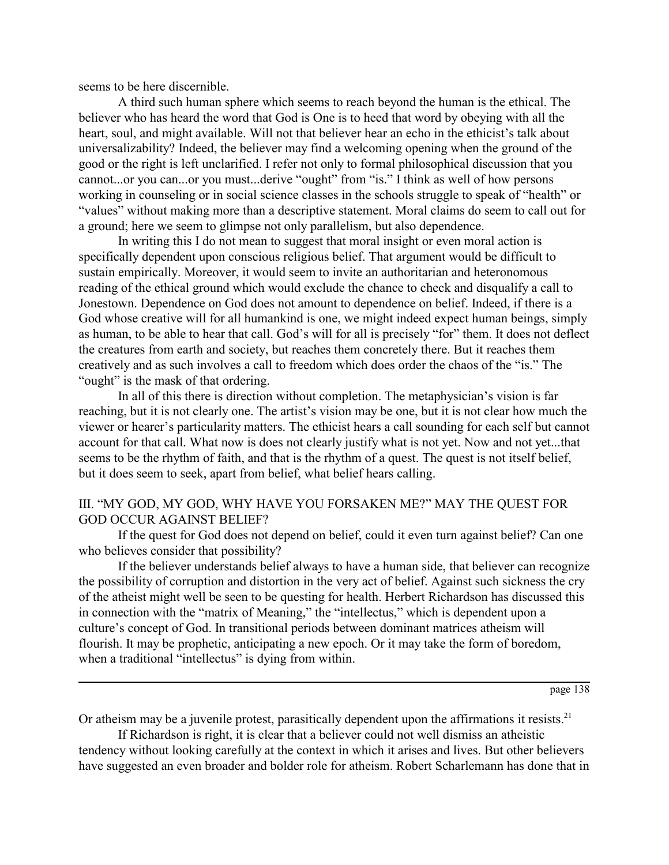seems to be here discernible.

A third such human sphere which seems to reach beyond the human is the ethical. The believer who has heard the word that God is One is to heed that word by obeying with all the heart, soul, and might available. Will not that believer hear an echo in the ethicist's talk about universalizability? Indeed, the believer may find a welcoming opening when the ground of the good or the right is left unclarified. I refer not only to formal philosophical discussion that you cannot...or you can...or you must...derive "ought" from "is." I think as well of how persons working in counseling or in social science classes in the schools struggle to speak of "health" or "values" without making more than a descriptive statement. Moral claims do seem to call out for a ground; here we seem to glimpse not only parallelism, but also dependence.

In writing this I do not mean to suggest that moral insight or even moral action is specifically dependent upon conscious religious belief. That argument would be difficult to sustain empirically. Moreover, it would seem to invite an authoritarian and heteronomous reading of the ethical ground which would exclude the chance to check and disqualify a call to Jonestown. Dependence on God does not amount to dependence on belief. Indeed, if there is a God whose creative will for all humankind is one, we might indeed expect human beings, simply as human, to be able to hear that call. God's will for all is precisely "for" them. It does not deflect the creatures from earth and society, but reaches them concretely there. But it reaches them creatively and as such involves a call to freedom which does order the chaos of the "is." The "ought" is the mask of that ordering.

In all of this there is direction without completion. The metaphysician's vision is far reaching, but it is not clearly one. The artist's vision may be one, but it is not clear how much the viewer or hearer's particularity matters. The ethicist hears a call sounding for each self but cannot account for that call. What now is does not clearly justify what is not yet. Now and not yet...that seems to be the rhythm of faith, and that is the rhythm of a quest. The quest is not itself belief, but it does seem to seek, apart from belief, what belief hears calling.

### III. "MY GOD, MY GOD, WHY HAVE YOU FORSAKEN ME?" MAY THE QUEST FOR GOD OCCUR AGAINST BELIEF?

If the quest for God does not depend on belief, could it even turn against belief? Can one who believes consider that possibility?

If the believer understands belief always to have a human side, that believer can recognize the possibility of corruption and distortion in the very act of belief. Against such sickness the cry of the atheist might well be seen to be questing for health. Herbert Richardson has discussed this in connection with the "matrix of Meaning," the "intellectus," which is dependent upon a culture's concept of God. In transitional periods between dominant matrices atheism will flourish. It may be prophetic, anticipating a new epoch. Or it may take the form of boredom, when a traditional "intellectus" is dying from within.

page 138

Or atheism may be a juvenile protest, parasitically dependent upon the affirmations it resists.<sup>21</sup> If Richardson is right, it is clear that a believer could not well dismiss an atheistic

tendency without looking carefully at the context in which it arises and lives. But other believers have suggested an even broader and bolder role for atheism. Robert Scharlemann has done that in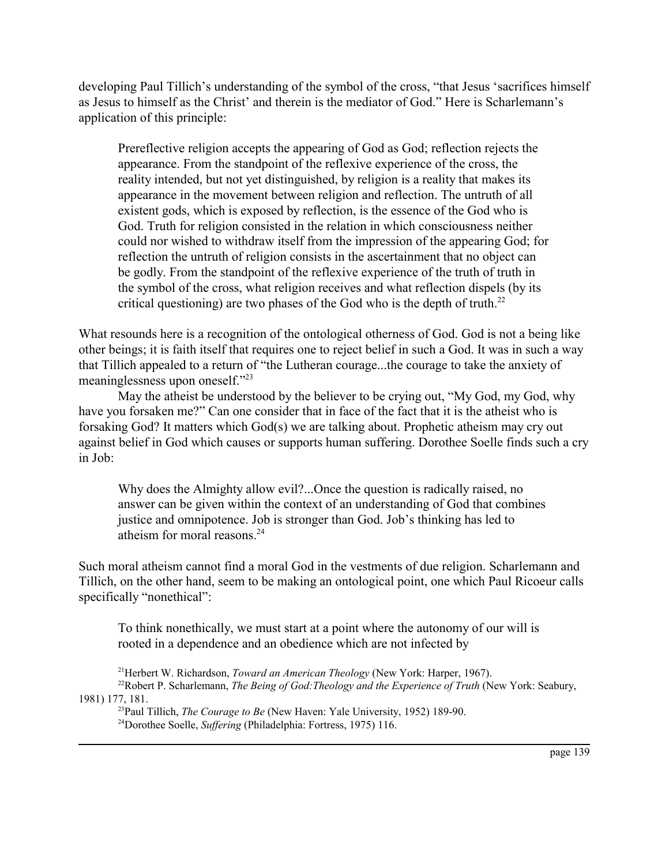developing Paul Tillich's understanding of the symbol of the cross, "that Jesus 'sacrifices himself as Jesus to himself as the Christ' and therein is the mediator of God." Here is Scharlemann's application of this principle:

Prereflective religion accepts the appearing of God as God; reflection rejects the appearance. From the standpoint of the reflexive experience of the cross, the reality intended, but not yet distinguished, by religion is a reality that makes its appearance in the movement between religion and reflection. The untruth of all existent gods, which is exposed by reflection, is the essence of the God who is God. Truth for religion consisted in the relation in which consciousness neither could nor wished to withdraw itself from the impression of the appearing God; for reflection the untruth of religion consists in the ascertainment that no object can be godly. From the standpoint of the reflexive experience of the truth of truth in the symbol of the cross, what religion receives and what reflection dispels (by its critical questioning) are two phases of the God who is the depth of truth.<sup>22</sup>

What resounds here is a recognition of the ontological otherness of God. God is not a being like other beings; it is faith itself that requires one to reject belief in such a God. It was in such a way that Tillich appealed to a return of "the Lutheran courage...the courage to take the anxiety of meaninglessness upon oneself. $\frac{123}{2}$ 

May the atheist be understood by the believer to be crying out, "My God, my God, why have you forsaken me?" Can one consider that in face of the fact that it is the atheist who is forsaking God? It matters which God(s) we are talking about. Prophetic atheism may cry out against belief in God which causes or supports human suffering. Dorothee Soelle finds such a cry in Job:

Why does the Almighty allow evil?...Once the question is radically raised, no answer can be given within the context of an understanding of God that combines justice and omnipotence. Job is stronger than God. Job's thinking has led to atheism for moral reasons.<sup>24</sup>

Such moral atheism cannot find a moral God in the vestments of due religion. Scharlemann and Tillich, on the other hand, seem to be making an ontological point, one which Paul Ricoeur calls specifically "nonethical":

To think nonethically, we must start at a point where the autonomy of our will is rooted in a dependence and an obedience which are not infected by

21Herbert W. Richardson, *Toward an American Theology* (New York: Harper, 1967).

<sup>22</sup>Robert P. Scharlemann, *The Being of God: Theology and the Experience of Truth* (New York: Seabury, 1981) 177, 181.

23Paul Tillich, *The Courage to Be* (New Haven: Yale University, 1952) 189-90. 24Dorothee Soelle, *Suffering* (Philadelphia: Fortress, 1975) 116.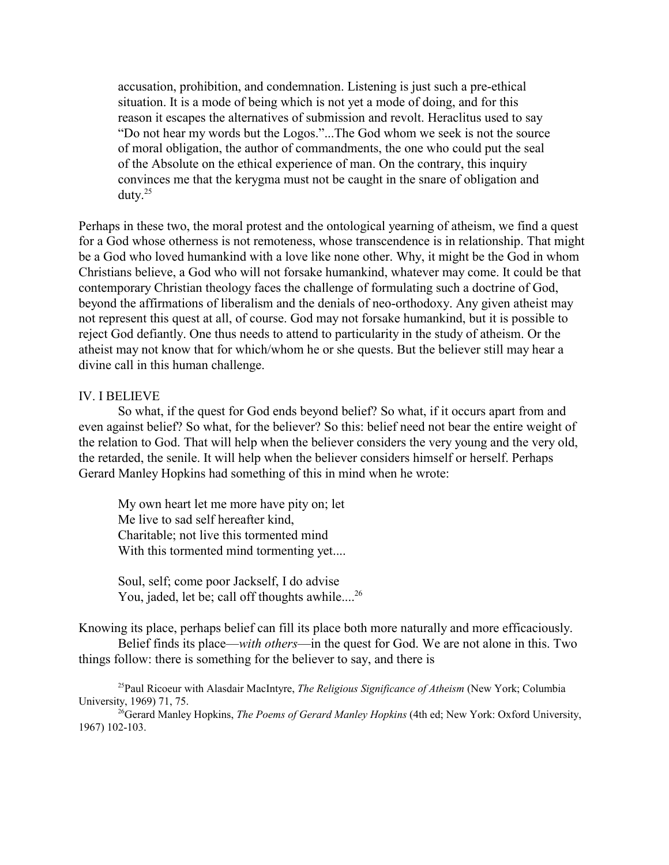accusation, prohibition, and condemnation. Listening is just such a pre-ethical situation. It is a mode of being which is not yet a mode of doing, and for this reason it escapes the alternatives of submission and revolt. Heraclitus used to say ìDo not hear my words but the Logos.î...The God whom we seek is not the source of moral obligation, the author of commandments, the one who could put the seal of the Absolute on the ethical experience of man. On the contrary, this inquiry convinces me that the kerygma must not be caught in the snare of obligation and duty.25

Perhaps in these two, the moral protest and the ontological yearning of atheism, we find a quest for a God whose otherness is not remoteness, whose transcendence is in relationship. That might be a God who loved humankind with a love like none other. Why, it might be the God in whom Christians believe, a God who will not forsake humankind, whatever may come. It could be that contemporary Christian theology faces the challenge of formulating such a doctrine of God, beyond the affirmations of liberalism and the denials of neo-orthodoxy. Any given atheist may not represent this quest at all, of course. God may not forsake humankind, but it is possible to reject God defiantly. One thus needs to attend to particularity in the study of atheism. Or the atheist may not know that for which/whom he or she quests. But the believer still may hear a divine call in this human challenge.

#### IV. I BELIEVE

So what, if the quest for God ends beyond belief? So what, if it occurs apart from and even against belief? So what, for the believer? So this: belief need not bear the entire weight of the relation to God. That will help when the believer considers the very young and the very old, the retarded, the senile. It will help when the believer considers himself or herself. Perhaps Gerard Manley Hopkins had something of this in mind when he wrote:

My own heart let me more have pity on; let Me live to sad self hereafter kind, Charitable; not live this tormented mind With this tormented mind tormenting yet....

Soul, self; come poor Jackself, I do advise You, jaded, let be; call off thoughts awhile....<sup>26</sup>

Knowing its place, perhaps belief can fill its place both more naturally and more efficaciously. Belief finds its place—*with others*—in the quest for God. We are not alone in this. Two

things follow: there is something for the believer to say, and there is

25Paul Ricoeur with Alasdair MacIntyre, *The Religious Significance of Atheism* (New York; Columbia University, 1969) 71, 75.

26Gerard Manley Hopkins, *The Poems of Gerard Manley Hopkins* (4th ed; New York: Oxford University, 1967) 102-103.